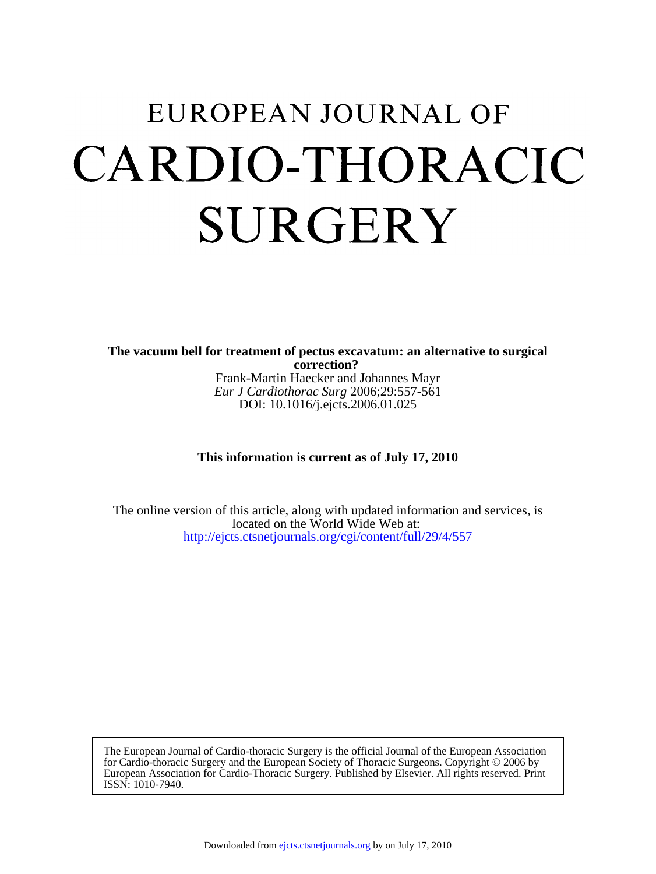# EUROPEAN JOURNAL OF CARDIO-THORACIC **SURGERY**

DOI: 10.1016/j.ejcts.2006.01.025 *Eur J Cardiothorac Surg* 2006;29:557-561 Frank-Martin Haecker and Johannes Mayr **correction? The vacuum bell for treatment of pectus excavatum: an alternative to surgical**

## **This information is current as of July 17, 2010**

<http://ejcts.ctsnetjournals.org/cgi/content/full/29/4/557> located on the World Wide Web at: The online version of this article, along with updated information and services, is

ISSN: 1010-7940. European Association for Cardio-Thoracic Surgery. Published by Elsevier. All rights reserved. Print for Cardio-thoracic Surgery and the European Society of Thoracic Surgeons. Copyright © 2006 by The European Journal of Cardio-thoracic Surgery is the official Journal of the European Association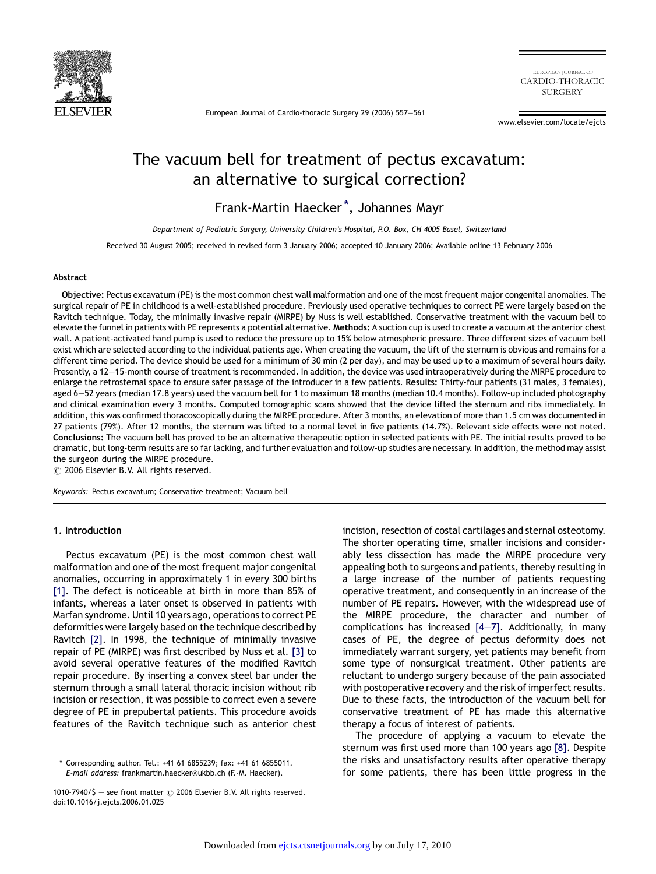

European Journal of Cardio-thoracic Surgery 29 (2006) 557—561

EUROPEAN IOURNAL OF CARDIO-THORACIC **SURGERY** 

www.elsevier.com/locate/ejcts

# The vacuum bell for treatment of pectus excavatum: an alternative to surgical correction?

Frank-Martin Haecker\*, Johannes Mayr

Department of Pediatric Surgery, University Children's Hospital, P.O. Box, CH 4005 Basel, Switzerland

Received 30 August 2005; received in revised form 3 January 2006; accepted 10 January 2006; Available online 13 February 2006

#### Abstract

Objective: Pectus excavatum (PE) is the most common chest wall malformation and one of the most frequent major congenital anomalies. The surgical repair of PE in childhood is a well-established procedure. Previously used operative techniques to correct PE were largely based on the Ravitch technique. Today, the minimally invasive repair (MIRPE) by Nuss is well established. Conservative treatment with the vacuum bell to elevate the funnel in patients with PE represents a potential alternative. Methods: A suction cup is used to create a vacuum at the anterior chest wall. A patient-activated hand pump is used to reduce the pressure up to 15% below atmospheric pressure. Three different sizes of vacuum bell exist which are selected according to the individual patients age. When creating the vacuum, the lift of the sternum is obvious and remains for a different time period. The device should be used for a minimum of 30 min (2 per day), and may be used up to a maximum of several hours daily. Presently, a 12—15-month course of treatment is recommended. In addition, the device was used intraoperatively during the MIRPE procedure to enlarge the retrosternal space to ensure safer passage of the introducer in a few patients. Results: Thirty-four patients (31 males, 3 females), aged 6—52 years (median 17.8 years) used the vacuum bell for 1 to maximum 18 months (median 10.4 months). Follow-up included photography and clinical examination every 3 months. Computed tomographic scans showed that the device lifted the sternum and ribs immediately. In addition, this was confirmed thoracoscopically during the MIRPE procedure. After 3 months, an elevation of more than 1.5 cm was documented in 27 patients (79%). After 12 months, the sternum was lifted to a normal level in five patients (14.7%). Relevant side effects were not noted. Conclusions: The vacuum bell has proved to be an alternative therapeutic option in selected patients with PE. The initial results proved to be dramatic, but long-term results are so far lacking, and further evaluation and follow-up studies are necessary. In addition, the method may assist the surgeon during the MIRPE procedure.

 $\odot$  2006 Elsevier B.V. All rights reserved.

Keywords: Pectus excavatum; Conservative treatment; Vacuum bell

#### 1. Introduction

Pectus excavatum (PE) is the most common chest wall malformation and one of the most frequent major congenital anomalies, occurring in approximately 1 in every 300 births [\[1\]](#page-4-0). The defect is noticeable at birth in more than 85% of infants, whereas a later onset is observed in patients with Marfan syndrome. Until 10 years ago, operations to correct PE deformities were largely based on the technique described by Ravitch [\[2\]](#page-4-0). In 1998, the technique of minimally invasive repair of PE (MIRPE) was first described by Nuss et al. [\[3\]](#page-5-0) to avoid several operative features of the modified Ravitch repair procedure. By inserting a convex steel bar under the sternum through a small lateral thoracic incision without rib incision or resection, it was possible to correct even a severe degree of PE in prepubertal patients. This procedure avoids features of the Ravitch technique such as anterior chest

incision, resection of costal cartilages and sternal osteotomy. The shorter operating time, smaller incisions and considerably less dissection has made the MIRPE procedure very appealing both to surgeons and patients, thereby resulting in a large increase of the number of patients requesting operative treatment, and consequently in an increase of the number of PE repairs. However, with the widespread use of the MIRPE procedure, the character and number of complications has increased [\[4—7\]](#page-5-0). Additionally, in many cases of PE, the degree of pectus deformity does not immediately warrant surgery, yet patients may benefit from some type of nonsurgical treatment. Other patients are reluctant to undergo surgery because of the pain associated with postoperative recovery and the risk of imperfect results. Due to these facts, the introduction of the vacuum bell for conservative treatment of PE has made this alternative therapy a focus of interest of patients.

The procedure of applying a vacuum to elevate the sternum was first used more than 100 years ago [\[8\].](#page-5-0) Despite the risks and unsatisfactory results after operative therapy for some patients, there has been little progress in the

<sup>\*</sup> Corresponding author. Tel.: +41 61 6855239; fax: +41 61 6855011. E-mail address: frankmartin.haecker@ukbb.ch (F.-M. Haecker).

<sup>1010-7940/\$ -</sup> see front matter  $\odot$  2006 Elsevier B.V. All rights reserved. doi:10.1016/j.ejcts.2006.01.025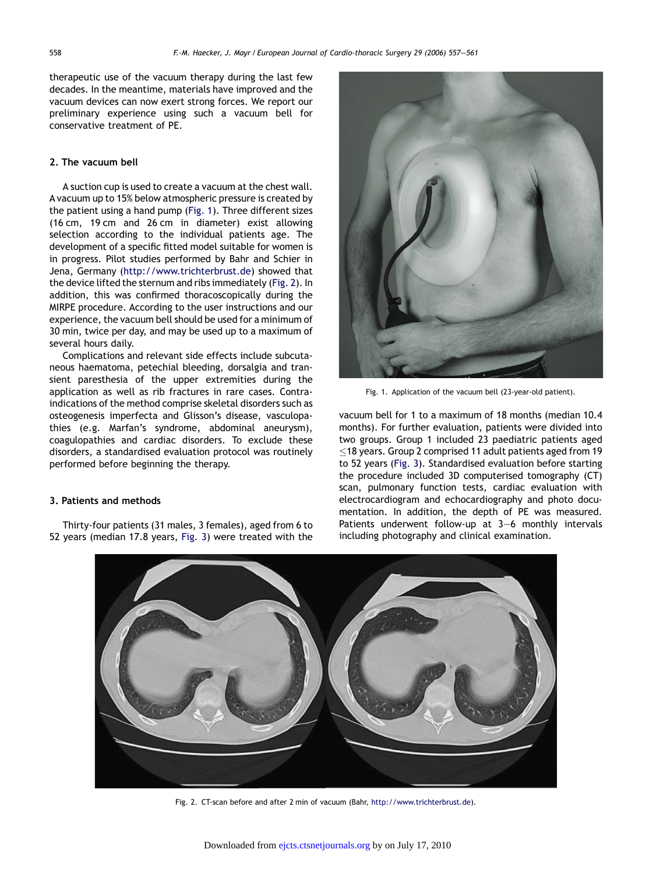therapeutic use of the vacuum therapy during the last few decades. In the meantime, materials have improved and the vacuum devices can now exert strong forces. We report our preliminary experience using such a vacuum bell for conservative treatment of PE.

#### 2. The vacuum bell

A suction cup is used to create a vacuum at the chest wall. A vacuum up to 15% below atmospheric pressure is created by the patient using a hand pump (Fig. 1). Three different sizes (16 cm, 19 cm and 26 cm in diameter) exist allowing selection according to the individual patients age. The development of a specific fitted model suitable for women is in progress. Pilot studies performed by Bahr and Schier in Jena, Germany [\(http://www.trichterbrust.de](http://www.trichterbrust.de/)) showed that the device lifted the sternum and ribs immediately (Fig. 2). In addition, this was confirmed thoracoscopically during the MIRPE procedure. According to the user instructions and our experience, the vacuum bell should be used for a minimum of 30 min, twice per day, and may be used up to a maximum of several hours daily.

Complications and relevant side effects include subcutaneous haematoma, petechial bleeding, dorsalgia and transient paresthesia of the upper extremities during the application as well as rib fractures in rare cases. Contraindications of the method comprise skeletal disorders such as osteogenesis imperfecta and Glisson's disease, vasculopathies (e.g. Marfan's syndrome, abdominal aneurysm), coagulopathies and cardiac disorders. To exclude these disorders, a standardised evaluation protocol was routinely performed before beginning the therapy.

#### 3. Patients and methods

Thirty-four patients (31 males, 3 females), aged from 6 to 52 years (median 17.8 years, [Fig. 3\)](#page-3-0) were treated with the



Fig. 1. Application of the vacuum bell (23-year-old patient).

vacuum bell for 1 to a maximum of 18 months (median 10.4 months). For further evaluation, patients were divided into two groups. Group 1 included 23 paediatric patients aged  $\leq$ 18 years. Group 2 comprised 11 adult patients aged from 19 to 52 years ([Fig. 3](#page-3-0)). Standardised evaluation before starting the procedure included 3D computerised tomography (CT) scan, pulmonary function tests, cardiac evaluation with electrocardiogram and echocardiography and photo documentation. In addition, the depth of PE was measured. Patients underwent follow-up at 3—6 monthly intervals including photography and clinical examination.



Fig. 2. CT-scan before and after 2 min of vacuum (Bahr, [http://www.trichterbrust.de\)](http://www.trichterbrust.de/).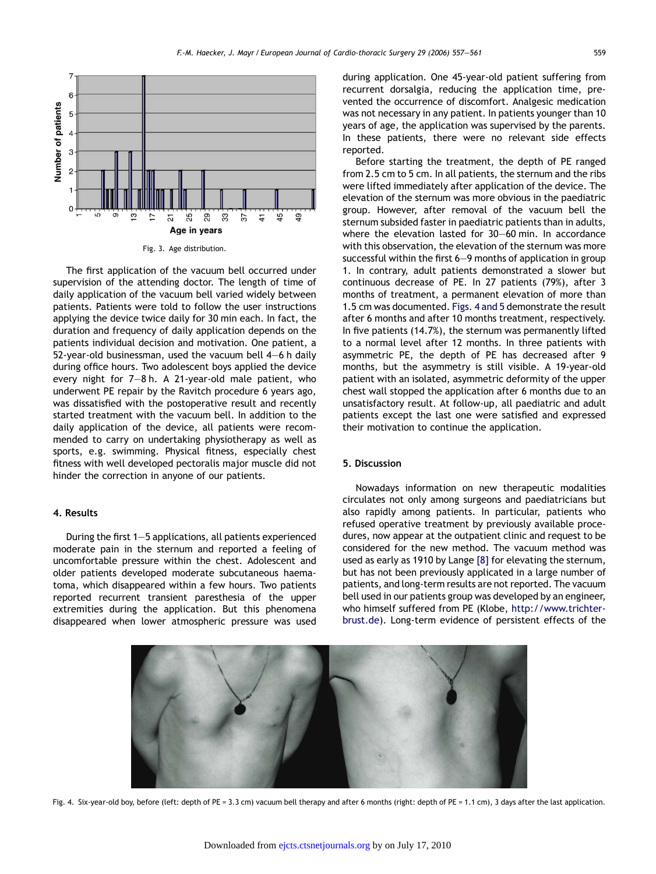<span id="page-3-0"></span>

Fig. 3. Age distribution.

The first application of the vacuum bell occurred under supervision of the attending doctor. The length of time of daily application of the vacuum bell varied widely between patients. Patients were told to follow the user instructions applying the device twice daily for 30 min each. In fact, the duration and frequency of daily application depends on the patients individual decision and motivation. One patient, a 52-year-old businessman, used the vacuum bell 4—6 h daily during office hours. Two adolescent boys applied the device every night for 7—8 h. A 21-year-old male patient, who underwent PE repair by the Ravitch procedure 6 years ago, was dissatisfied with the postoperative result and recently started treatment with the vacuum bell. In addition to the daily application of the device, all patients were recommended to carry on undertaking physiotherapy as well as sports, e.g. swimming. Physical fitness, especially chest fitness with well developed pectoralis major muscle did not hinder the correction in anyone of our patients.

#### 4. Results

During the first 1—5 applications, all patients experienced moderate pain in the sternum and reported a feeling of uncomfortable pressure within the chest. Adolescent and older patients developed moderate subcutaneous haematoma, which disappeared within a few hours. Two patients reported recurrent transient paresthesia of the upper extremities during the application. But this phenomena disappeared when lower atmospheric pressure was used during application. One 45-year-old patient suffering from recurrent dorsalgia, reducing the application time, prevented the occurrence of discomfort. Analgesic medication was not necessary in any patient. In patients younger than 10 years of age, the application was supervised by the parents. In these patients, there were no relevant side effects reported.

Before starting the treatment, the depth of PE ranged from 2.5 cm to 5 cm. In all patients, the sternum and the ribs were lifted immediately after application of the device. The elevation of the sternum was more obvious in the paediatric group. However, after removal of the vacuum bell the sternum subsided faster in paediatric patients than in adults, where the elevation lasted for 30—60 min. In accordance with this observation, the elevation of the sternum was more successful within the first 6—9 months of application in group 1. In contrary, adult patients demonstrated a slower but continuous decrease of PE. In 27 patients (79%), after 3 months of treatment, a permanent elevation of more than 1.5 cm was documented. Figs. 4 and 5 demonstrate the result after 6 months and after 10 months treatment, respectively. In five patients (14.7%), the sternum was permanently lifted to a normal level after 12 months. In three patients with asymmetric PE, the depth of PE has decreased after 9 months, but the asymmetry is still visible. A 19-year-old patient with an isolated, asymmetric deformity of the upper chest wall stopped the application after 6 months due to an unsatisfactory result. At follow-up, all paediatric and adult patients except the last one were satisfied and expressed their motivation to continue the application.

#### 5. Discussion

Nowadays information on new therapeutic modalities circulates not only among surgeons and paediatricians but also rapidly among patients. In particular, patients who refused operative treatment by previously available procedures, now appear at the outpatient clinic and request to be considered for the new method. The vacuum method was used as early as 1910 by Lange [\[8\]](#page-5-0) for elevating the sternum, but has not been previously applicated in a large number of patients, and long-term results are not reported. The vacuum bell used in our patients group was developed by an engineer, who himself suffered from PE (Klobe, [http://www.trichter](http://www.trichterbrust.de/)[brust.de\)](http://www.trichterbrust.de/). Long-term evidence of persistent effects of the



Fig. 4. Six-year-old boy, before (left: depth of PE = 3.3 cm) vacuum bell therapy and after 6 months (right: depth of PE = 1.1 cm), 3 days after the last application.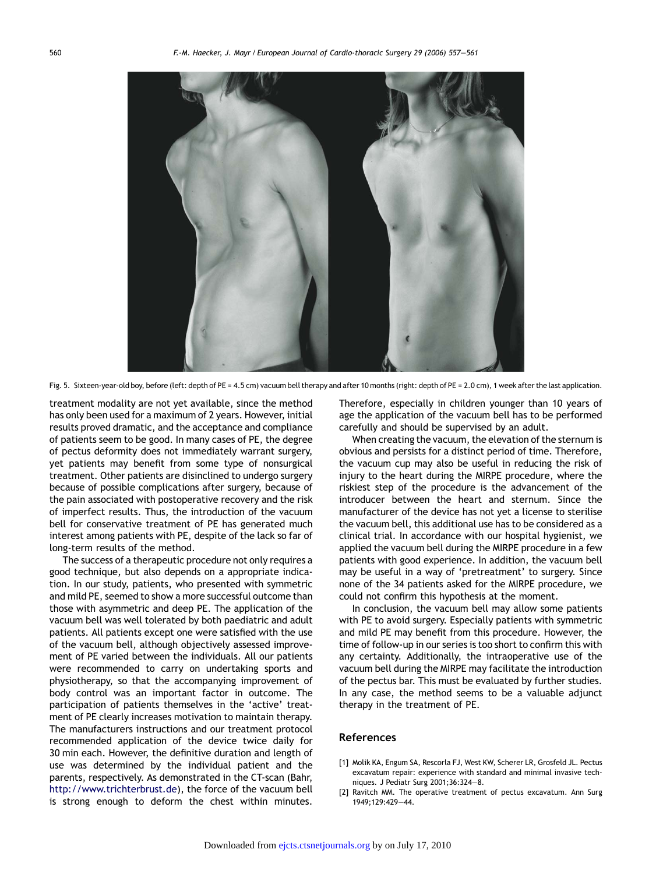<span id="page-4-0"></span>

Fig. 5. Sixteen-year-old boy, before (left: depth of PE = 4.5 cm) vacuum bell therapy and after 10 months (right: depth of PE = 2.0 cm), 1 week after the last application.

treatment modality are not yet available, since the method has only been used for a maximum of 2 years. However, initial results proved dramatic, and the acceptance and compliance of patients seem to be good. In many cases of PE, the degree of pectus deformity does not immediately warrant surgery, yet patients may benefit from some type of nonsurgical treatment. Other patients are disinclined to undergo surgery because of possible complications after surgery, because of the pain associated with postoperative recovery and the risk of imperfect results. Thus, the introduction of the vacuum bell for conservative treatment of PE has generated much interest among patients with PE, despite of the lack so far of long-term results of the method.

The success of a therapeutic procedure not only requires a good technique, but also depends on a appropriate indication. In our study, patients, who presented with symmetric and mild PE, seemed to show a more successful outcome than those with asymmetric and deep PE. The application of the vacuum bell was well tolerated by both paediatric and adult patients. All patients except one were satisfied with the use of the vacuum bell, although objectively assessed improvement of PE varied between the individuals. All our patients were recommended to carry on undertaking sports and physiotherapy, so that the accompanying improvement of body control was an important factor in outcome. The participation of patients themselves in the 'active' treatment of PE clearly increases motivation to maintain therapy. The manufacturers instructions and our treatment protocol recommended application of the device twice daily for 30 min each. However, the definitive duration and length of use was determined by the individual patient and the parents, respectively. As demonstrated in the CT-scan (Bahr, [http://www.trichterbrust.de\)](http://www.trichterbrust.de/), the force of the vacuum bell is strong enough to deform the chest within minutes.

Therefore, especially in children younger than 10 years of age the application of the vacuum bell has to be performed carefully and should be supervised by an adult.

When creating the vacuum, the elevation of the sternum is obvious and persists for a distinct period of time. Therefore, the vacuum cup may also be useful in reducing the risk of injury to the heart during the MIRPE procedure, where the riskiest step of the procedure is the advancement of the introducer between the heart and sternum. Since the manufacturer of the device has not yet a license to sterilise the vacuum bell, this additional use has to be considered as a clinical trial. In accordance with our hospital hygienist, we applied the vacuum bell during the MIRPE procedure in a few patients with good experience. In addition, the vacuum bell may be useful in a way of 'pretreatment' to surgery. Since none of the 34 patients asked for the MIRPE procedure, we could not confirm this hypothesis at the moment.

In conclusion, the vacuum bell may allow some patients with PE to avoid surgery. Especially patients with symmetric and mild PE may benefit from this procedure. However, the time of follow-up in our series is too short to confirm this with any certainty. Additionally, the intraoperative use of the vacuum bell during the MIRPE may facilitate the introduction of the pectus bar. This must be evaluated by further studies. In any case, the method seems to be a valuable adjunct therapy in the treatment of PE.

#### References

- [1] Molik KA, Engum SA, Rescorla FJ, West KW, Scherer LR, Grosfeld JL. Pectus excavatum repair: experience with standard and minimal invasive techniques. J Pediatr Surg 2001;36:324—8.
- [2] Ravitch MM. The operative treatment of pectus excavatum. Ann Surg 1949;129:429—44.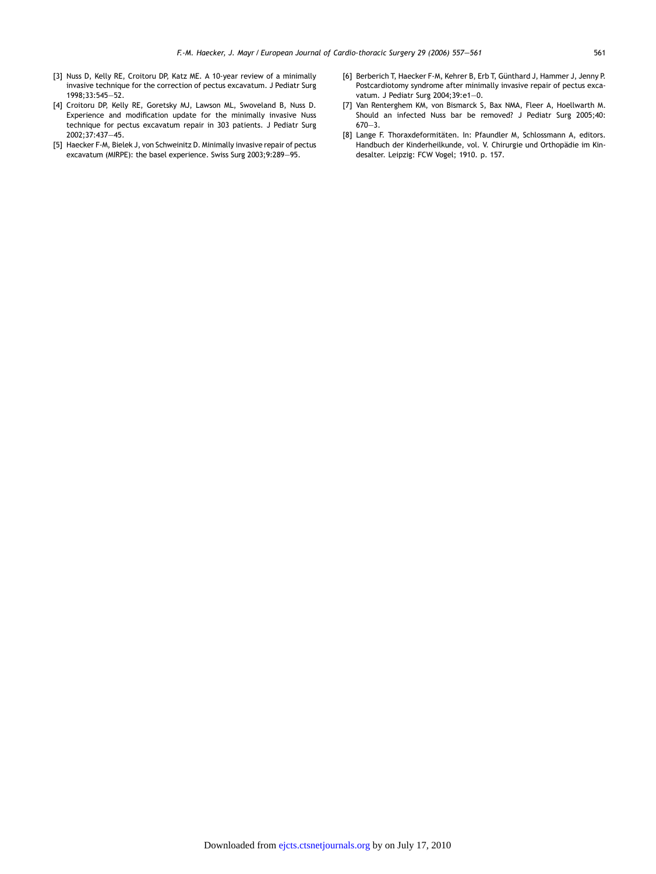- <span id="page-5-0"></span>[3] Nuss D, Kelly RE, Croitoru DP, Katz ME. A 10-year review of a minimally invasive technique for the correction of pectus excavatum. J Pediatr Surg 1998;33:545—52.
- [4] Croitoru DP, Kelly RE, Goretsky MJ, Lawson ML, Swoveland B, Nuss D. Experience and modification update for the minimally invasive Nuss technique for pectus excavatum repair in 303 patients. J Pediatr Surg 2002;37:437—45.
- [5] Haecker F-M, Bielek J, von Schweinitz D. Minimally invasive repair of pectus excavatum (MIRPE): the basel experience. Swiss Surg 2003;9:289—95.
- [6] Berberich T, Haecker F-M, Kehrer B, Erb T, Günthard J, Hammer J, Jenny P. Postcardiotomy syndrome after minimally invasive repair of pectus excavatum. J Pediatr Surg 2004;39:e1—0.
- [7] Van Renterghem KM, von Bismarck S, Bax NMA, Fleer A, Hoellwarth M. Should an infected Nuss bar be removed? J Pediatr Surg 2005;40: 670—3.
- [8] Lange F. Thoraxdeformitäten. In: Pfaundler M, Schlossmann A, editors. Handbuch der Kinderheilkunde, vol. V. Chirurgie und Orthopädie im Kindesalter. Leipzig: FCW Vogel; 1910. p. 157.